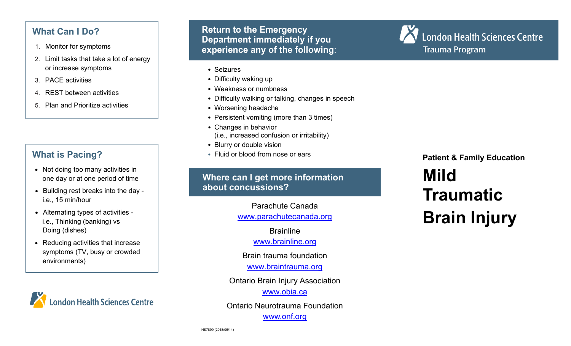# **What Can I Do?**

- 1. Monitor for symptoms
- 2. Limit tasks that take a lot of energy or increase symptoms
- 3. PACE activities
- 4. REST between activities
- 5. Plan and Prioritize activities

## **What is Pacing?**

- Not doing too many activities in one day or at one period of time
- Building rest breaks into the day i.e., 15 min/hour
- Alternating types of activities i.e., Thinking (banking) vs Doing (dishes)
- Reducing activities that increase symptoms (TV, busy or crowded environments)



**Return to the Emergency Department immediately if you experience any of the following**:

- Seizures
- Difficulty waking up
- Weakness or numbness
- Difficulty walking or talking, changes in speech
- Worsening headache
- Persistent vomiting (more than 3 times)
- Changes in behavior (i.e., increased confusion or irritability)
- Blurry or double vision
- Fluid or blood from nose or ears

#### **Where can I get more information about concussions?**

Parachute Canada www.parachutecanada.org

**Brainline** 

www.brainline.org

Brain trauma foundation

www.braintrauma.org

Ontario Brain Injury Association

www.obia.ca

Ontario Neurotrauma Foundation www.onf.org

London Health Sciences Centre Trauma Program

**Patient & Family Education** 

# **Mild Traumatic Brain Injury**